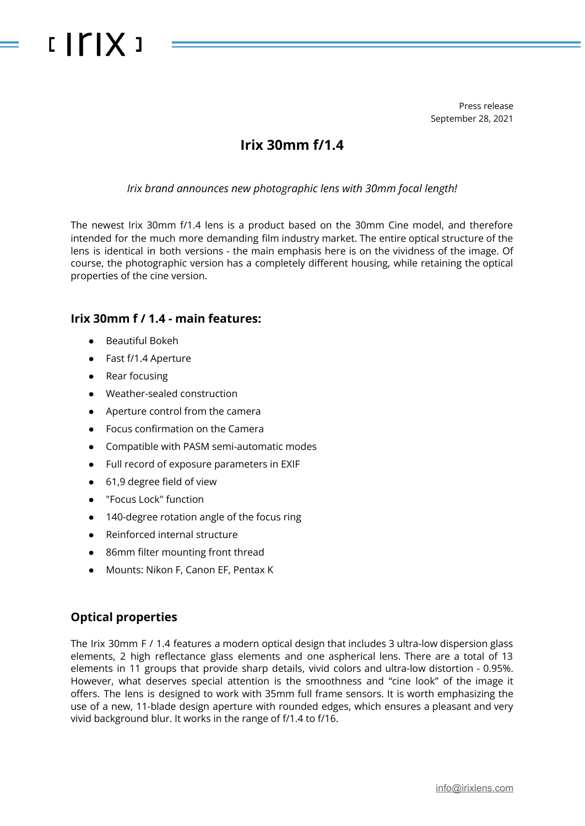# $IITIX$

Press release September 28, 2021

## **Irix 30mm f/1.4**

*Irix brand announces new photographic lens with 30mm focal length!*

The newest Irix 30mm f/1.4 lens is a product based on the 30mm Cine model, and therefore intended for the much more demanding film industry market. The entire optical structure of the lens is identical in both versions - the main emphasis here is on the vividness of the image. Of course, the photographic version has a completely different housing, while retaining the optical properties of the cine version.

#### **Irix 30mm f / 1.4 - main features:**

- Beautiful Bokeh
- Fast f/1.4 Aperture
- Rear focusing
- Weather-sealed construction
- Aperture control from the camera
- Focus confirmation on the Camera
- Compatible with PASM semi-automatic modes
- Full record of exposure parameters in EXIF
- 61,9 degree field of view
- "Focus Lock" function
- 140-degree rotation angle of the focus ring
- Reinforced internal structure
- 86mm filter mounting front thread
- Mounts: Nikon F, Canon EF, Pentax K

### **Optical properties**

The Irix 30mm F / 1.4 features a modern optical design that includes 3 ultra-low dispersion glass elements, 2 high reflectance glass elements and one aspherical lens. There are a total of 13 elements in 11 groups that provide sharp details, vivid colors and ultra-low distortion - 0.95%. However, what deserves special attention is the smoothness and "cine look" of the image it offers. The lens is designed to work with 35mm full frame sensors. It is worth emphasizing the use of a new, 11-blade design aperture with rounded edges, which ensures a pleasant and very vivid background blur. It works in the range of f/1.4 to f/16.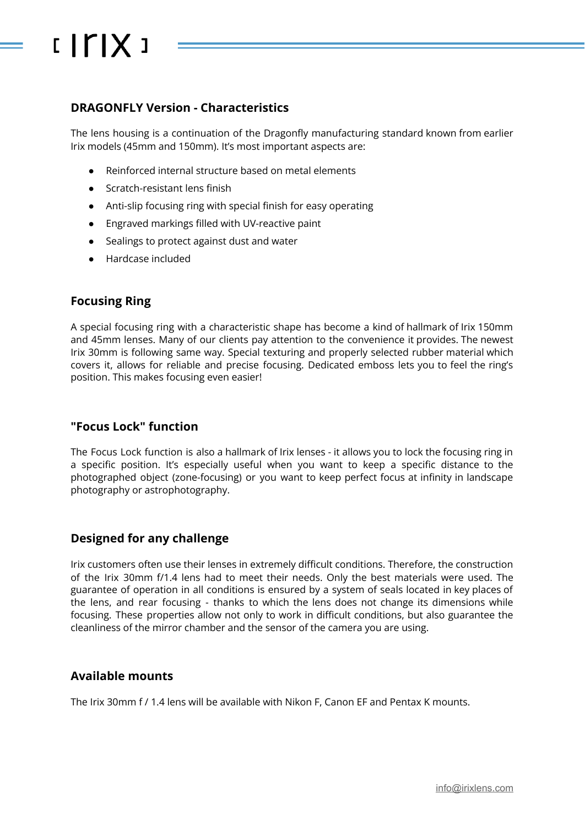# $IITIX$

#### **DRAGONFLY Version - Characteristics**

The lens housing is a continuation of the Dragonfly manufacturing standard known from earlier Irix models (45mm and 150mm). It's most important aspects are:

- Reinforced internal structure based on metal elements
- Scratch-resistant lens finish
- Anti-slip focusing ring with special finish for easy operating
- Engraved markings filled with UV-reactive paint
- Sealings to protect against dust and water
- Hardcase included

#### **Focusing Ring**

A special focusing ring with a characteristic shape has become a kind of hallmark of Irix 150mm and 45mm lenses. Many of our clients pay attention to the convenience it provides. The newest Irix 30mm is following same way. Special texturing and properly selected rubber material which covers it, allows for reliable and precise focusing. Dedicated emboss lets you to feel the ring's position. This makes focusing even easier!

#### **"Focus Lock" function**

The Focus Lock function is also a hallmark of Irix lenses - it allows you to lock the focusing ring in a specific position. It's especially useful when you want to keep a specific distance to the photographed object (zone-focusing) or you want to keep perfect focus at infinity in landscape photography or astrophotography.

#### **Designed for any challenge**

Irix customers often use their lenses in extremely difficult conditions. Therefore, the construction of the Irix 30mm f/1.4 lens had to meet their needs. Only the best materials were used. The guarantee of operation in all conditions is ensured by a system of seals located in key places of the lens, and rear focusing - thanks to which the lens does not change its dimensions while focusing. These properties allow not only to work in difficult conditions, but also guarantee the cleanliness of the mirror chamber and the sensor of the camera you are using.

#### **Available mounts**

The Irix 30mm f / 1.4 lens will be available with Nikon F, Canon EF and Pentax K mounts.